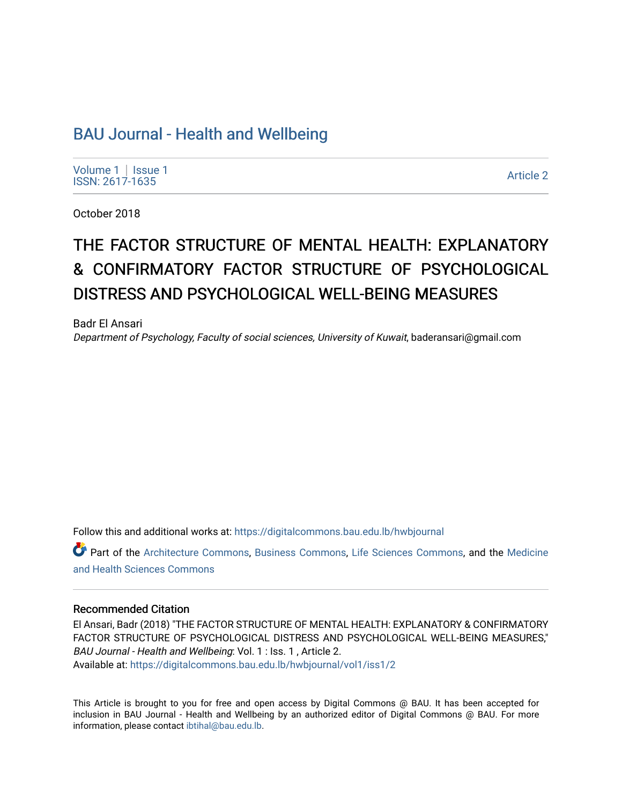# [BAU Journal - Health and Wellbeing](https://digitalcommons.bau.edu.lb/hwbjournal)

[Volume 1](https://digitalcommons.bau.edu.lb/hwbjournal/vol1) | Issue 1 Political Pressure Pressure Pressure Pressure Pressure Pressure Pressure Pressure Pressure 2<br>ISSN: 2617-1635

October 2018

# THE FACTOR STRUCTURE OF MENTAL HEALTH: EXPLANATORY & CONFIRMATORY FACTOR STRUCTURE OF PSYCHOLOGICAL DISTRESS AND PSYCHOLOGICAL WELL-BEING MEASURES

Badr El Ansari Department of Psychology, Faculty of social sciences, University of Kuwait, baderansari@gmail.com

Follow this and additional works at: [https://digitalcommons.bau.edu.lb/hwbjournal](https://digitalcommons.bau.edu.lb/hwbjournal?utm_source=digitalcommons.bau.edu.lb%2Fhwbjournal%2Fvol1%2Fiss1%2F2&utm_medium=PDF&utm_campaign=PDFCoverPages)

Part of the [Architecture Commons](http://network.bepress.com/hgg/discipline/773?utm_source=digitalcommons.bau.edu.lb%2Fhwbjournal%2Fvol1%2Fiss1%2F2&utm_medium=PDF&utm_campaign=PDFCoverPages), [Business Commons,](http://network.bepress.com/hgg/discipline/622?utm_source=digitalcommons.bau.edu.lb%2Fhwbjournal%2Fvol1%2Fiss1%2F2&utm_medium=PDF&utm_campaign=PDFCoverPages) [Life Sciences Commons](http://network.bepress.com/hgg/discipline/1016?utm_source=digitalcommons.bau.edu.lb%2Fhwbjournal%2Fvol1%2Fiss1%2F2&utm_medium=PDF&utm_campaign=PDFCoverPages), and the [Medicine](http://network.bepress.com/hgg/discipline/648?utm_source=digitalcommons.bau.edu.lb%2Fhwbjournal%2Fvol1%2Fiss1%2F2&utm_medium=PDF&utm_campaign=PDFCoverPages)  [and Health Sciences Commons](http://network.bepress.com/hgg/discipline/648?utm_source=digitalcommons.bau.edu.lb%2Fhwbjournal%2Fvol1%2Fiss1%2F2&utm_medium=PDF&utm_campaign=PDFCoverPages)

#### Recommended Citation

El Ansari, Badr (2018) "THE FACTOR STRUCTURE OF MENTAL HEALTH: EXPLANATORY & CONFIRMATORY FACTOR STRUCTURE OF PSYCHOLOGICAL DISTRESS AND PSYCHOLOGICAL WELL-BEING MEASURES," BAU Journal - Health and Wellbeing: Vol. 1 : Iss. 1 , Article 2. Available at: [https://digitalcommons.bau.edu.lb/hwbjournal/vol1/iss1/2](https://digitalcommons.bau.edu.lb/hwbjournal/vol1/iss1/2?utm_source=digitalcommons.bau.edu.lb%2Fhwbjournal%2Fvol1%2Fiss1%2F2&utm_medium=PDF&utm_campaign=PDFCoverPages) 

This Article is brought to you for free and open access by Digital Commons @ BAU. It has been accepted for inclusion in BAU Journal - Health and Wellbeing by an authorized editor of Digital Commons @ BAU. For more information, please contact [ibtihal@bau.edu.lb.](mailto:ibtihal@bau.edu.lb)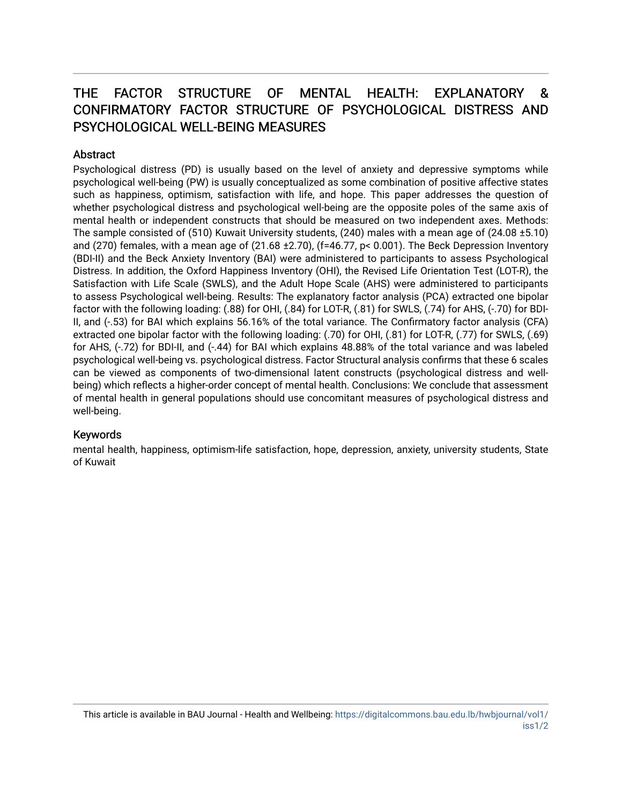# THE FACTOR STRUCTURE OF MENTAL HEALTH: EXPLANATORY & CONFIRMATORY FACTOR STRUCTURE OF PSYCHOLOGICAL DISTRESS AND PSYCHOLOGICAL WELL-BEING MEASURES

## Abstract

Psychological distress (PD) is usually based on the level of anxiety and depressive symptoms while psychological well-being (PW) is usually conceptualized as some combination of positive affective states such as happiness, optimism, satisfaction with life, and hope. This paper addresses the question of whether psychological distress and psychological well-being are the opposite poles of the same axis of mental health or independent constructs that should be measured on two independent axes. Methods: The sample consisted of (510) Kuwait University students, (240) males with a mean age of (24.08 ±5.10) and (270) females, with a mean age of (21.68 ±2.70), (f=46.77, p< 0.001). The Beck Depression Inventory (BDI-II) and the Beck Anxiety Inventory (BAI) were administered to participants to assess Psychological Distress. In addition, the Oxford Happiness Inventory (OHI), the Revised Life Orientation Test (LOT-R), the Satisfaction with Life Scale (SWLS), and the Adult Hope Scale (AHS) were administered to participants to assess Psychological well-being. Results: The explanatory factor analysis (PCA) extracted one bipolar factor with the following loading: (.88) for OHI, (.84) for LOT-R, (.81) for SWLS, (.74) for AHS, (-.70) for BDI-II, and (-.53) for BAI which explains 56.16% of the total variance. The Confirmatory factor analysis (CFA) extracted one bipolar factor with the following loading: (.70) for OHI, (.81) for LOT-R, (.77) for SWLS, (.69) for AHS, (-.72) for BDI-II, and (-.44) for BAI which explains 48.88% of the total variance and was labeled psychological well-being vs. psychological distress. Factor Structural analysis confirms that these 6 scales can be viewed as components of two-dimensional latent constructs (psychological distress and wellbeing) which reflects a higher-order concept of mental health. Conclusions: We conclude that assessment of mental health in general populations should use concomitant measures of psychological distress and well-being.

# Keywords

mental health, happiness, optimism-life satisfaction, hope, depression, anxiety, university students, State of Kuwait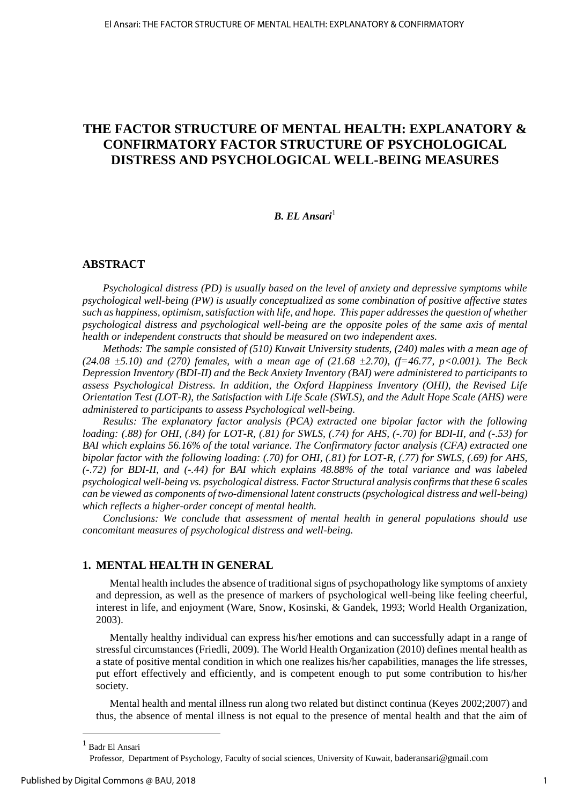# **THE FACTOR STRUCTURE OF MENTAL HEALTH: EXPLANATORY & CONFIRMATORY FACTOR STRUCTURE OF PSYCHOLOGICAL DISTRESS AND PSYCHOLOGICAL WELL-BEING MEASURES**

## *B. EL Ansari*<sup>1</sup>

#### **ABSTRACT**

*Psychological distress (PD) is usually based on the level of anxiety and depressive symptoms while psychological well-being (PW) is usually conceptualized as some combination of positive affective states such as happiness, optimism, satisfaction with life, and hope. This paper addresses the question of whether psychological distress and psychological well-being are the opposite poles of the same axis of mental health or independent constructs that should be measured on two independent axes.* 

*Methods: The sample consisted of (510) Kuwait University students, (240) males with a mean age of (24.08 ±5.10) and (270) females, with a mean age of (21.68 ±2.70), (f=46.77, p<0.001). The Beck Depression Inventory (BDI-II) and the Beck Anxiety Inventory (BAI) were administered to participants to assess Psychological Distress. In addition, the Oxford Happiness Inventory (OHI), the Revised Life Orientation Test (LOT-R), the Satisfaction with Life Scale (SWLS), and the Adult Hope Scale (AHS) were administered to participants to assess Psychological well-being.* 

*Results: The explanatory factor analysis (PCA) extracted one bipolar factor with the following loading: (.88) for OHI, (.84) for LOT-R, (.81) for SWLS, (.74) for AHS, (-.70) for BDI-II, and (-.53) for BAI which explains 56.16% of the total variance. The Confirmatory factor analysis (CFA) extracted one bipolar factor with the following loading: (.70) for OHI, (.81) for LOT-R, (.77) for SWLS, (.69) for AHS, (-.72) for BDI-II, and (-.44) for BAI which explains 48.88% of the total variance and was labeled psychological well-being vs. psychological distress. Factor Structural analysis confirms that these 6 scales can be viewed as components of two-dimensional latent constructs (psychological distress and well-being) which reflects a higher-order concept of mental health.* 

*Conclusions: We conclude that assessment of mental health in general populations should use concomitant measures of psychological distress and well-being.* 

#### **1. MENTAL HEALTH IN GENERAL**

Mental health includes the absence of traditional signs of psychopathology like symptoms of anxiety and depression, as well as the presence of markers of psychological well-being like feeling cheerful, interest in life, and enjoyment (Ware, Snow, Kosinski, & Gandek, 1993; World Health Organization, 2003).

Mentally healthy individual can express his/her emotions and can successfully adapt in a range of stressful circumstances (Friedli, 2009). The World Health Organization (2010) defines mental health as a state of positive mental condition in which one realizes his/her capabilities, manages the life stresses, put effort effectively and efficiently, and is competent enough to put some contribution to his/her society.

Mental health and mental illness run along two related but distinct continua (Keyes 2002;2007) and thus, the absence of mental illness is not equal to the presence of mental health and that the aim of

 $\overline{a}$ 

<sup>1</sup> Badr El Ansari

Professor, Department of Psychology, Faculty of social sciences, University of Kuwait, baderansari@gmail.com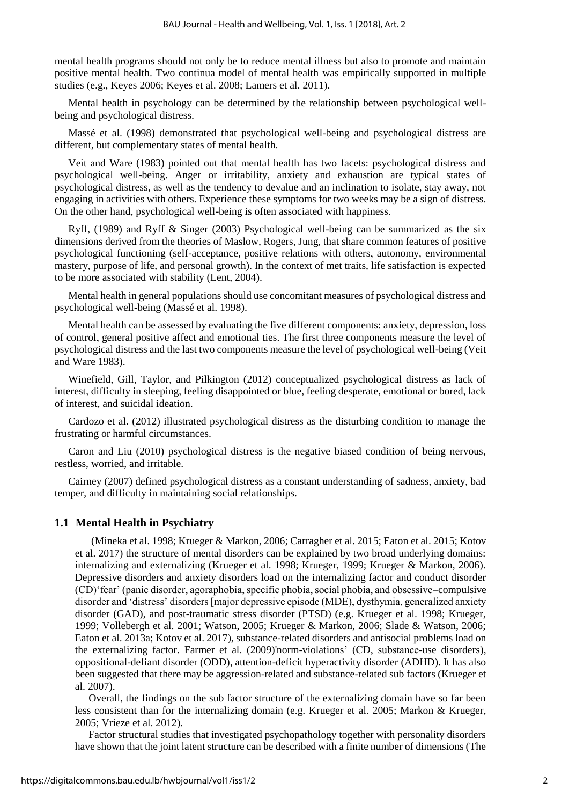mental health programs should not only be to reduce mental illness but also to promote and maintain positive mental health. Two continua model of mental health was empirically supported in multiple studies (e.g., Keyes 2006; Keyes et al. 2008; Lamers et al. 2011).

Mental health in psychology can be determined by the relationship between psychological wellbeing and psychological distress.

Massé et al. (1998) demonstrated that psychological well-being and psychological distress are different, but complementary states of mental health.

Veit and Ware (1983) pointed out that mental health has two facets: psychological distress and psychological well-being. Anger or irritability, anxiety and exhaustion are typical states of psychological distress, as well as the tendency to devalue and an inclination to isolate, stay away, not engaging in activities with others. Experience these symptoms for two weeks may be a sign of distress. On the other hand, psychological well-being is often associated with happiness.

Ryff, (1989) and Ryff & Singer (2003) Psychological well-being can be summarized as the six dimensions derived from the theories of Maslow, Rogers, Jung, that share common features of positive psychological functioning (self-acceptance, positive relations with others, autonomy, environmental mastery, purpose of life, and personal growth). In the context of met traits, life satisfaction is expected to be more associated with stability (Lent, 2004).

Mental health in general populations should use concomitant measures of psychological distress and psychological well-being (Massé et al. 1998).

Mental health can be assessed by evaluating the five different components: anxiety, depression, loss of control, general positive affect and emotional ties. The first three components measure the level of psychological distress and the last two components measure the level of psychological well-being (Veit and Ware 1983).

Winefield, Gill, Taylor, and Pilkington (2012) conceptualized psychological distress as lack of interest, difficulty in sleeping, feeling disappointed or blue, feeling desperate, emotional or bored, lack of interest, and suicidal ideation.

Cardozo et al. (2012) illustrated psychological distress as the disturbing condition to manage the frustrating or harmful circumstances.

Caron and Liu (2010) psychological distress is the negative biased condition of being nervous, restless, worried, and irritable.

Cairney (2007) defined psychological distress as a constant understanding of sadness, anxiety, bad temper, and difficulty in maintaining social relationships.

#### **1.1 Mental Health in Psychiatry**

(Mineka et al. 1998; Krueger & Markon, 2006; Carragher et al. 2015; Eaton et al. 2015; Kotov et al. 2017) the structure of mental disorders can be explained by two broad underlying domains: internalizing and externalizing (Krueger et al. 1998; Krueger, 1999; Krueger & Markon, 2006). Depressive disorders and anxiety disorders load on the internalizing factor and conduct disorder (CD)'fear' (panic disorder, agoraphobia, specific phobia, social phobia, and obsessive–compulsive disorder and 'distress' disorders [major depressive episode (MDE), dysthymia, generalized anxiety disorder (GAD), and post-traumatic stress disorder (PTSD) (e.g. Krueger et al. 1998; Krueger, 1999; Vollebergh et al. 2001; Watson, 2005; Krueger & Markon, 2006; Slade & Watson, 2006; Eaton et al. 2013a; Kotov et al. 2017), substance-related disorders and antisocial problems load on the externalizing factor. Farmer et al. (2009)'norm-violations' (CD, substance-use disorders), oppositional-defiant disorder (ODD), attention-deficit hyperactivity disorder (ADHD). It has also been suggested that there may be aggression-related and substance-related sub factors (Krueger et al. 2007).

Overall, the findings on the sub factor structure of the externalizing domain have so far been less consistent than for the internalizing domain (e.g. Krueger et al. 2005; Markon & Krueger, 2005; Vrieze et al. 2012).

Factor structural studies that investigated psychopathology together with personality disorders have shown that the joint latent structure can be described with a finite number of dimensions (The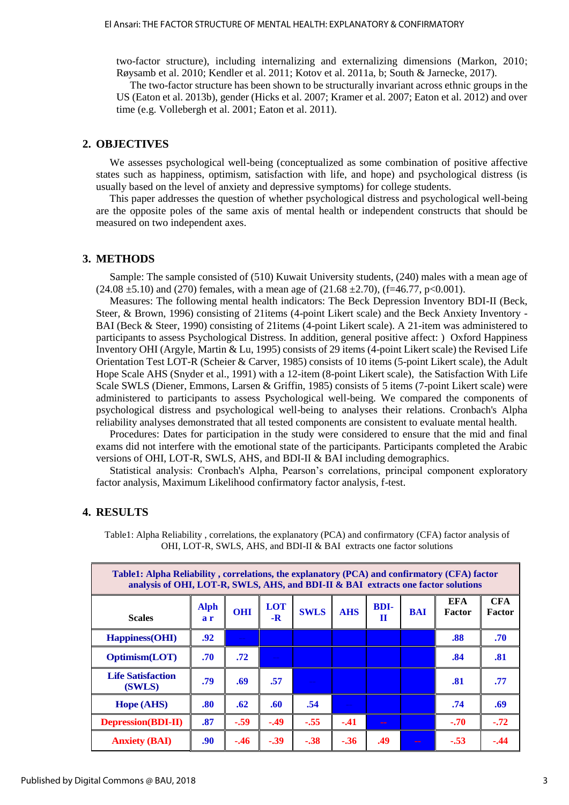two-factor structure), including internalizing and externalizing dimensions (Markon, 2010; Røysamb et al. 2010; Kendler et al. 2011; Kotov et al. 2011a, b; South & Jarnecke, 2017).

The two-factor structure has been shown to be structurally invariant across ethnic groups in the US (Eaton et al. 2013b), gender (Hicks et al. 2007; Kramer et al. 2007; Eaton et al. 2012) and over time (e.g. Vollebergh et al. 2001; Eaton et al. 2011).

## **2. OBJECTIVES**

We assesses psychological well-being (conceptualized as some combination of positive affective states such as happiness, optimism, satisfaction with life, and hope) and psychological distress (is usually based on the level of anxiety and depressive symptoms) for college students.

This paper addresses the question of whether psychological distress and psychological well-being are the opposite poles of the same axis of mental health or independent constructs that should be measured on two independent axes.

#### **3. METHODS**

Sample: The sample consisted of (510) Kuwait University students, (240) males with a mean age of  $(24.08 \pm 5.10)$  and  $(270)$  females, with a mean age of  $(21.68 \pm 2.70)$ ,  $(f=46.77, p<0.001)$ .

Measures: The following mental health indicators: The Beck Depression Inventory BDI-II (Beck, Steer, & Brown, 1996) consisting of 21items (4-point Likert scale) and the Beck Anxiety Inventory - BAI (Beck & Steer, 1990) consisting of 21items (4-point Likert scale). A 21-item was administered to participants to assess Psychological Distress. In addition, general positive affect: ) Oxford Happiness Inventory OHI (Argyle, Martin & Lu, 1995) consists of 29 items (4-point Likert scale) the Revised Life Orientation Test LOT-R (Scheier & Carver, 1985) consists of 10 items (5-point Likert scale), the Adult Hope Scale AHS (Snyder et al., 1991) with a 12-item (8-point Likert scale), the Satisfaction With Life Scale SWLS (Diener, Emmons, Larsen & Griffin, 1985) consists of 5 items (7-point Likert scale) were administered to participants to assess Psychological well-being. We compared the components of psychological distress and psychological well-being to analyses their relations. Cronbach's Alpha reliability analyses demonstrated that all tested components are consistent to evaluate mental health.

Procedures: Dates for participation in the study were considered to ensure that the mid and final exams did not interfere with the emotional state of the participants. Participants completed the Arabic versions of OHI, LOT-R, SWLS, AHS, and BDI-II & BAI including demographics.

Statistical analysis: Cronbach's Alpha, Pearson's correlations, principal component exploratory factor analysis, Maximum Likelihood confirmatory factor analysis, f-test.

#### **4. RESULTS**

Table1: Alpha Reliability , correlations, the explanatory (PCA) and confirmatory (CFA) factor analysis of OHI, LOT-R, SWLS, AHS, and BDI-II & BAI extracts one factor solutions

| Table1: Alpha Reliability, correlations, the explanatory (PCA) and confirmatory (CFA) factor<br>analysis of OHI, LOT-R, SWLS, AHS, and BDI-II & BAI extracts one factor solutions |                    |            |                    |             |            |                  |            |                             |                             |  |
|-----------------------------------------------------------------------------------------------------------------------------------------------------------------------------------|--------------------|------------|--------------------|-------------|------------|------------------|------------|-----------------------------|-----------------------------|--|
| <b>Scales</b>                                                                                                                                                                     | <b>Alph</b><br>a r | <b>OHI</b> | <b>LOT</b><br>$-R$ | <b>SWLS</b> | <b>AHS</b> | <b>BDI-</b><br>п | <b>BAI</b> | <b>EFA</b><br><b>Factor</b> | <b>CFA</b><br><b>Factor</b> |  |
| Happiness(OHI)                                                                                                                                                                    | .92                |            |                    |             |            |                  |            | .88                         | .70                         |  |
| <b>Optimism(LOT)</b>                                                                                                                                                              | .70                | .72        |                    |             |            |                  |            | .84                         | .81                         |  |
| <b>Life Satisfaction</b><br>(SWLS)                                                                                                                                                | .79                | .69        | .57                |             |            |                  |            | .81                         | .77                         |  |
| Hope (AHS)                                                                                                                                                                        | .80                | .62        | .60                | .54         |            |                  |            | .74                         | .69                         |  |
| <b>Depression</b> (BDI-II)                                                                                                                                                        | .87                | $-.59$     | $-.49$             | $-.55$      | $-.41$     | $- -$            |            | $-.70$                      | $-.72$                      |  |
| <b>Anxiety (BAI)</b>                                                                                                                                                              | .90 <sub>1</sub>   | $-.46$     | $-.39$             | $-.38$      | $-.36$     | .49              |            | $-.53$                      | $-.44$                      |  |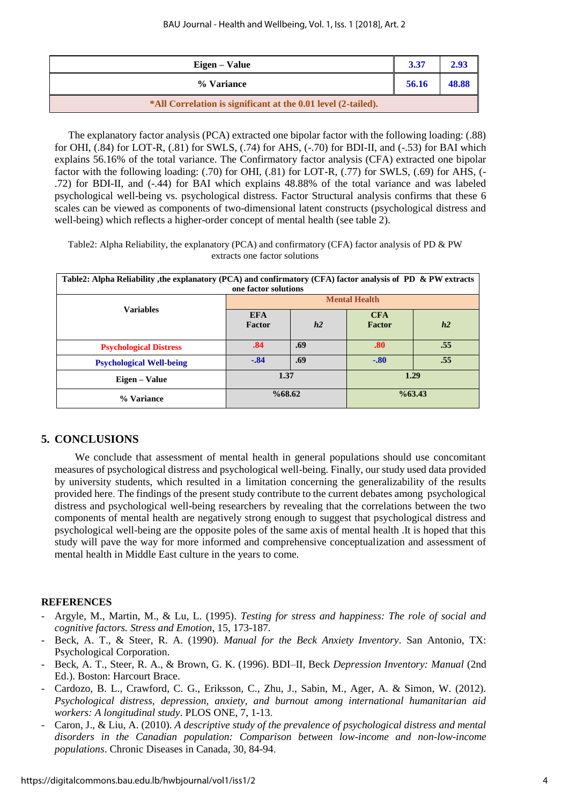| Eigen – Value                                                 | 3.37  | 2.93  |
|---------------------------------------------------------------|-------|-------|
| % Variance                                                    | 56.16 | 48.88 |
| *All Correlation is significant at the 0.01 level (2-tailed). |       |       |

The explanatory factor analysis (PCA) extracted one bipolar factor with the following loading: (.88) for OHI, (.84) for LOT-R, (.81) for SWLS, (.74) for AHS, (-.70) for BDI-II, and (-.53) for BAI which explains 56.16% of the total variance. The Confirmatory factor analysis (CFA) extracted one bipolar factor with the following loading: (.70) for OHI, (.81) for LOT-R, (.77) for SWLS, (.69) for AHS, (- .72) for BDI-II, and (-.44) for BAI which explains 48.88% of the total variance and was labeled psychological well-being vs. psychological distress. Factor Structural analysis confirms that these 6 scales can be viewed as components of two-dimensional latent constructs (psychological distress and well-being) which reflects a higher-order concept of mental health (see table 2).

Table2: Alpha Reliability, the explanatory (PCA) and confirmatory (CFA) factor analysis of PD & PW extracts one factor solutions

| Table2: Alpha Reliability , the explanatory (PCA) and confirmatory (CFA) factor analysis of PD & PW extracts |                      |     |                    |     |  |  |  |
|--------------------------------------------------------------------------------------------------------------|----------------------|-----|--------------------|-----|--|--|--|
| one factor solutions                                                                                         |                      |     |                    |     |  |  |  |
| <b>Variables</b>                                                                                             | <b>Mental Health</b> |     |                    |     |  |  |  |
|                                                                                                              | <b>EFA</b>           |     | <b>CFA</b>         |     |  |  |  |
|                                                                                                              | Factor               | h2  | Factor             | h2  |  |  |  |
|                                                                                                              |                      |     |                    |     |  |  |  |
| <b>Psychological Distress</b>                                                                                | .84                  | .69 | .80                | .55 |  |  |  |
| <b>Psychological Well-being</b>                                                                              | $-.84$               | .69 | $-.80$             | .55 |  |  |  |
| Eigen – Value                                                                                                | 1.37                 |     | 1.29               |     |  |  |  |
| % Variance                                                                                                   | %68.62               |     | $\frac{663.43}{6}$ |     |  |  |  |

# **5. CONCLUSIONS**

We conclude that assessment of mental health in general populations should use concomitant measures of psychological distress and psychological well-being. Finally, our study used data provided by university students, which resulted in a limitation concerning the generalizability of the results provided here. The findings of the present study contribute to the current debates among psychological distress and psychological well-being researchers by revealing that the correlations between the two components of mental health are negatively strong enough to suggest that psychological distress and psychological well-being are the opposite poles of the same axis of mental health .It is hoped that this study will pave the way for more informed and comprehensive conceptualization and assessment of mental health in Middle East culture in the years to come.

#### **REFERENCES**

- Argyle, M., Martin, M., & Lu, L. (1995). *Testing for stress and happiness: The role of social and cognitive factors. Stress and Emotion*, 15, 173-187.
- Beck, A. T., & Steer, R. A. (1990). *Manual for the Beck Anxiety Inventory*. San Antonio, TX: Psychological Corporation.
- Beck, A. T., Steer, R. A., & Brown, G. K. (1996). BDI–II, Beck *Depression Inventory: Manual* (2nd Ed.). Boston: Harcourt Brace.
- Cardozo, B. L., Crawford, C. G., Eriksson, C., Zhu, J., Sabin, M., Ager, A. & Simon, W. (2012). *Psychological distress, depression, anxiety, and burnout among international humanitarian aid workers: A longitudinal study*. PLOS ONE, 7, 1-13.
- Caron, J., & Liu, A. (2010). *A descriptive study of the prevalence of psychological distress and mental disorders in the Canadian population: Comparison between low-income and non-low-income populations*. Chronic Diseases in Canada, 30, 84-94.